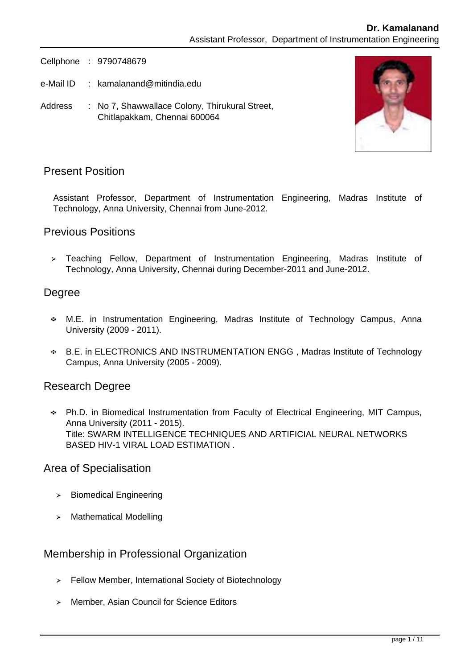Cellphone : 9790748679

- e-Mail ID : kamalanand@mitindia.edu
- Address : No 7, Shawwallace Colony, Thirukural Street, Chitlapakkam, Chennai 600064



## Present Position

Assistant Professor, Department of Instrumentation Engineering, Madras Institute of Technology, Anna University, Chennai from June-2012.

### Previous Positions

> Teaching Fellow, Department of Instrumentation Engineering, Madras Institute of Technology, Anna University, Chennai during December-2011 and June-2012.

### Degree

- M.E. in Instrumentation Engineering, Madras Institute of Technology Campus, Anna University (2009 - 2011).
- B.E. in ELECTRONICS AND INSTRUMENTATION ENGG , Madras Institute of Technology Campus, Anna University (2005 - 2009).

## Research Degree

Ph.D. in Biomedical Instrumentation from Faculty of Electrical Engineering, MIT Campus, Anna University (2011 - 2015). Title: SWARM INTELLIGENCE TECHNIQUES AND ARTIFICIAL NEURAL NETWORKS BASED HIV-1 VIRAL LOAD ESTIMATION .

### Area of Specialisation

- $\triangleright$  Biomedical Engineering
- > Mathematical Modelling

## Membership in Professional Organization

- Fellow Member, International Society of Biotechnology
- > Member, Asian Council for Science Editors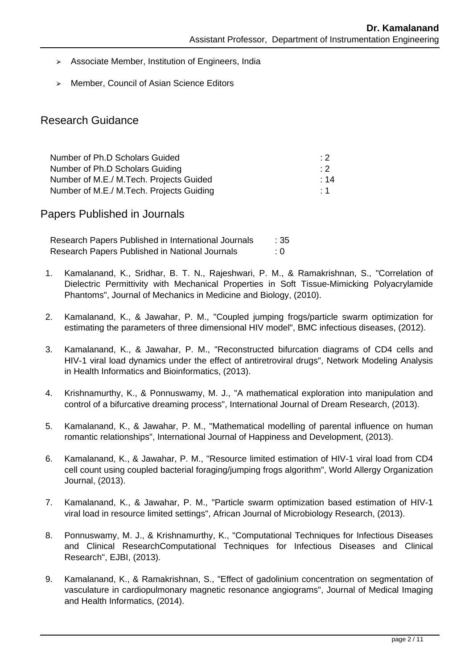- > Associate Member, Institution of Engineers, India
- > Member, Council of Asian Science Editors

## Research Guidance

| Number of Ph.D Scholars Guided           | : 2         |
|------------------------------------------|-------------|
| Number of Ph.D Scholars Guiding          | $\cdot$ : 2 |
| Number of M.E./ M.Tech. Projects Guided  | $\div$ 14   |
| Number of M.E./ M.Tech. Projects Guiding | $\cdot$ 1   |

Papers Published in Journals

Research Papers Published in International Journals : 35 Research Papers Published in National Journals : 0

- 1. Kamalanand, K., Sridhar, B. T. N., Rajeshwari, P. M., & Ramakrishnan, S., "Correlation of Dielectric Permittivity with Mechanical Properties in Soft Tissue-Mimicking Polyacrylamide Phantoms", Journal of Mechanics in Medicine and Biology, (2010).
- 2. Kamalanand, K., & Jawahar, P. M., "Coupled jumping frogs/particle swarm optimization for estimating the parameters of three dimensional HIV model", BMC infectious diseases, (2012).
- 3. Kamalanand, K., & Jawahar, P. M., "Reconstructed bifurcation diagrams of CD4 cells and HIV-1 viral load dynamics under the effect of antiretroviral drugs", Network Modeling Analysis in Health Informatics and Bioinformatics, (2013).
- 4. Krishnamurthy, K., & Ponnuswamy, M. J., "A mathematical exploration into manipulation and control of a bifurcative dreaming process", International Journal of Dream Research, (2013).
- 5. Kamalanand, K., & Jawahar, P. M., "Mathematical modelling of parental influence on human romantic relationships", International Journal of Happiness and Development, (2013).
- 6. Kamalanand, K., & Jawahar, P. M., "Resource limited estimation of HIV-1 viral load from CD4 cell count using coupled bacterial foraging/jumping frogs algorithm", World Allergy Organization Journal, (2013).
- 7. Kamalanand, K., & Jawahar, P. M., "Particle swarm optimization based estimation of HIV-1 viral load in resource limited settings", African Journal of Microbiology Research, (2013).
- 8. Ponnuswamy, M. J., & Krishnamurthy, K., "Computational Techniques for Infectious Diseases and Clinical ResearchComputational Techniques for Infectious Diseases and Clinical Research", EJBI, (2013).
- 9. Kamalanand, K., & Ramakrishnan, S., "Effect of gadolinium concentration on segmentation of vasculature in cardiopulmonary magnetic resonance angiograms", Journal of Medical Imaging and Health Informatics, (2014).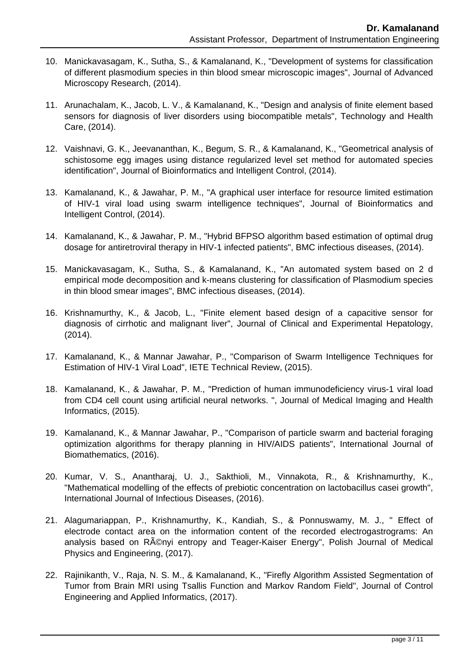- 10. Manickavasagam, K., Sutha, S., & Kamalanand, K., "Development of systems for classification of different plasmodium species in thin blood smear microscopic images", Journal of Advanced Microscopy Research, (2014).
- 11. Arunachalam, K., Jacob, L. V., & Kamalanand, K., "Design and analysis of finite element based sensors for diagnosis of liver disorders using biocompatible metals", Technology and Health Care, (2014).
- 12. Vaishnavi, G. K., Jeevananthan, K., Begum, S. R., & Kamalanand, K., "Geometrical analysis of schistosome egg images using distance regularized level set method for automated species identification", Journal of Bioinformatics and Intelligent Control, (2014).
- 13. Kamalanand, K., & Jawahar, P. M., "A graphical user interface for resource limited estimation of HIV-1 viral load using swarm intelligence techniques", Journal of Bioinformatics and Intelligent Control, (2014).
- 14. Kamalanand, K., & Jawahar, P. M., "Hybrid BFPSO algorithm based estimation of optimal drug dosage for antiretroviral therapy in HIV-1 infected patients", BMC infectious diseases, (2014).
- 15. Manickavasagam, K., Sutha, S., & Kamalanand, K., "An automated system based on 2 d empirical mode decomposition and k-means clustering for classification of Plasmodium species in thin blood smear images", BMC infectious diseases, (2014).
- 16. Krishnamurthy, K., & Jacob, L., "Finite element based design of a capacitive sensor for diagnosis of cirrhotic and malignant liver", Journal of Clinical and Experimental Hepatology, (2014).
- 17. Kamalanand, K., & Mannar Jawahar, P., "Comparison of Swarm Intelligence Techniques for Estimation of HIV-1 Viral Load", IETE Technical Review, (2015).
- 18. Kamalanand, K., & Jawahar, P. M., "Prediction of human immunodeficiency virus-1 viral load from CD4 cell count using artificial neural networks. ", Journal of Medical Imaging and Health Informatics, (2015).
- 19. Kamalanand, K., & Mannar Jawahar, P., "Comparison of particle swarm and bacterial foraging optimization algorithms for therapy planning in HIV/AIDS patients", International Journal of Biomathematics, (2016).
- 20. Kumar, V. S., Anantharaj, U. J., Sakthioli, M., Vinnakota, R., & Krishnamurthy, K., "Mathematical modelling of the effects of prebiotic concentration on lactobacillus casei growth", International Journal of Infectious Diseases, (2016).
- 21. Alagumariappan, P., Krishnamurthy, K., Kandiah, S., & Ponnuswamy, M. J., " Effect of electrode contact area on the information content of the recorded electrogastrograms: An analysis based on RAOnyi entropy and Teager-Kaiser Energy", Polish Journal of Medical Physics and Engineering, (2017).
- 22. Rajinikanth, V., Raja, N. S. M., & Kamalanand, K., "Firefly Algorithm Assisted Segmentation of Tumor from Brain MRI using Tsallis Function and Markov Random Field", Journal of Control Engineering and Applied Informatics, (2017).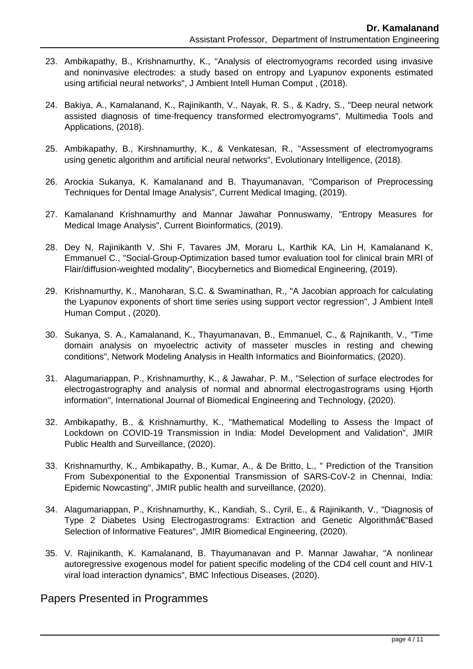- 23. Ambikapathy, B., Krishnamurthy, K., "Analysis of electromyograms recorded using invasive and noninvasive electrodes: a study based on entropy and Lyapunov exponents estimated using artificial neural networks", J Ambient Intell Human Comput , (2018).
- 24. Bakiya, A., Kamalanand, K., Rajinikanth, V., Nayak, R. S., & Kadry, S., "Deep neural network assisted diagnosis of time-frequency transformed electromyograms", Multimedia Tools and Applications, (2018).
- 25. Ambikapathy, B., Kirshnamurthy, K., & Venkatesan, R., "Assessment of electromyograms using genetic algorithm and artificial neural networks", Evolutionary Intelligence, (2018).
- 26. Arockia Sukanya, K. Kamalanand and B. Thayumanavan, "Comparison of Preprocessing Techniques for Dental Image Analysis", Current Medical Imaging, (2019).
- 27. Kamalanand Krishnamurthy and Mannar Jawahar Ponnuswamy, "Entropy Measures for Medical Image Analysis", Current Bioinformatics, (2019).
- 28. Dey N, Rajinikanth V, Shi F, Tavares JM, Moraru L, Karthik KA, Lin H, Kamalanand K, Emmanuel C., "Social-Group-Optimization based tumor evaluation tool for clinical brain MRI of Flair/diffusion-weighted modality", Biocybernetics and Biomedical Engineering, (2019).
- 29. Krishnamurthy, K., Manoharan, S.C. & Swaminathan, R., "A Jacobian approach for calculating the Lyapunov exponents of short time series using support vector regression", J Ambient Intell Human Comput , (2020).
- 30. Sukanya, S. A., Kamalanand, K., Thayumanavan, B., Emmanuel, C., & Rajnikanth, V., "Time domain analysis on myoelectric activity of masseter muscles in resting and chewing conditions", Network Modeling Analysis in Health Informatics and Bioinformatics, (2020).
- 31. Alagumariappan, P., Krishnamurthy, K., & Jawahar, P. M., "Selection of surface electrodes for electrogastrography and analysis of normal and abnormal electrogastrograms using Hjorth information", International Journal of Biomedical Engineering and Technology, (2020).
- 32. Ambikapathy, B., & Krishnamurthy, K., "Mathematical Modelling to Assess the Impact of Lockdown on COVID-19 Transmission in India: Model Development and Validation", JMIR Public Health and Surveillance, (2020).
- 33. Krishnamurthy, K., Ambikapathy, B., Kumar, A., & De Britto, L., " Prediction of the Transition From Subexponential to the Exponential Transmission of SARS-CoV-2 in Chennai, India: Epidemic Nowcasting", JMIR public health and surveillance, (2020).
- 34. Alagumariappan, P., Krishnamurthy, K., Kandiah, S., Cyril, E., & Rajinikanth, V., "Diagnosis of Type 2 Diabetes Using Electrogastrograms: Extraction and Genetic Algorithm†Based Selection of Informative Features", JMIR Biomedical Engineering, (2020).
- 35. V. Rajinikanth, K. Kamalanand, B. Thayumanavan and P. Mannar Jawahar, "A nonlinear autoregressive exogenous model for patient specific modeling of the CD4 cell count and HIV-1 viral load interaction dynamics", BMC Infectious Diseases, (2020).

## Papers Presented in Programmes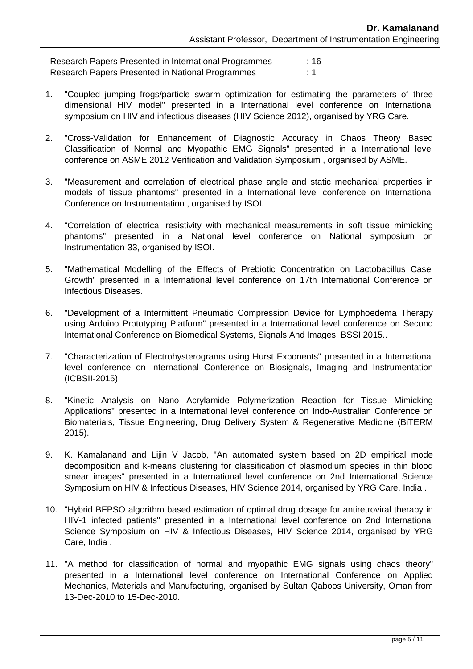Research Papers Presented in International Programmes : 16 Research Papers Presented in National Programmes : 1

- 1. "Coupled jumping frogs/particle swarm optimization for estimating the parameters of three dimensional HIV model" presented in a International level conference on International symposium on HIV and infectious diseases (HIV Science 2012), organised by YRG Care.
- 2. "Cross-Validation for Enhancement of Diagnostic Accuracy in Chaos Theory Based Classification of Normal and Myopathic EMG Signals" presented in a International level conference on ASME 2012 Verification and Validation Symposium , organised by ASME.
- 3. "Measurement and correlation of electrical phase angle and static mechanical properties in models of tissue phantoms" presented in a International level conference on International Conference on Instrumentation , organised by ISOI.
- 4. "Correlation of electrical resistivity with mechanical measurements in soft tissue mimicking phantoms" presented in a National level conference on National symposium on Instrumentation-33, organised by ISOI.
- 5. "Mathematical Modelling of the Effects of Prebiotic Concentration on Lactobacillus Casei Growth" presented in a International level conference on 17th International Conference on Infectious Diseases.
- 6. "Development of a Intermittent Pneumatic Compression Device for Lymphoedema Therapy using Arduino Prototyping Platform" presented in a International level conference on Second International Conference on Biomedical Systems, Signals And Images, BSSI 2015..
- 7. "Characterization of Electrohysterograms using Hurst Exponents" presented in a International level conference on International Conference on Biosignals, Imaging and Instrumentation (ICBSII-2015).
- 8. "Kinetic Analysis on Nano Acrylamide Polymerization Reaction for Tissue Mimicking Applications" presented in a International level conference on Indo-Australian Conference on Biomaterials, Tissue Engineering, Drug Delivery System & Regenerative Medicine (BiTERM 2015).
- 9. K. Kamalanand and Lijin V Jacob, "An automated system based on 2D empirical mode decomposition and k-means clustering for classification of plasmodium species in thin blood smear images" presented in a International level conference on 2nd International Science Symposium on HIV & Infectious Diseases, HIV Science 2014, organised by YRG Care, India .
- 10. "Hybrid BFPSO algorithm based estimation of optimal drug dosage for antiretroviral therapy in HIV-1 infected patients" presented in a International level conference on 2nd International Science Symposium on HIV & Infectious Diseases, HIV Science 2014, organised by YRG Care, India .
- 11. "A method for classification of normal and myopathic EMG signals using chaos theory" presented in a International level conference on International Conference on Applied Mechanics, Materials and Manufacturing, organised by Sultan Qaboos University, Oman from 13-Dec-2010 to 15-Dec-2010.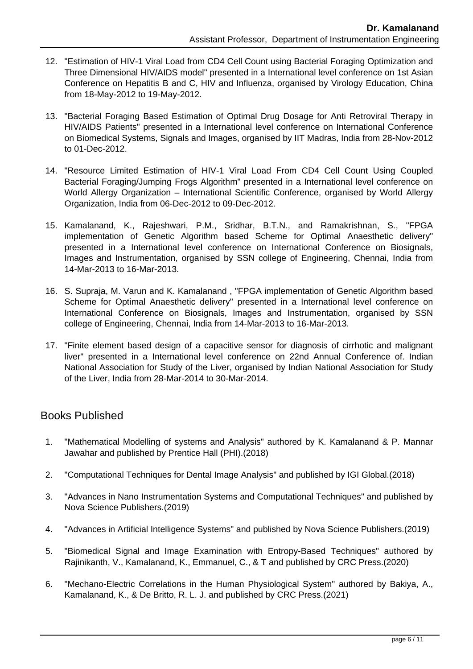- 12. "Estimation of HIV-1 Viral Load from CD4 Cell Count using Bacterial Foraging Optimization and Three Dimensional HIV/AIDS model" presented in a International level conference on 1st Asian Conference on Hepatitis B and C, HIV and Influenza, organised by Virology Education, China from 18-May-2012 to 19-May-2012.
- 13. "Bacterial Foraging Based Estimation of Optimal Drug Dosage for Anti Retroviral Therapy in HIV/AIDS Patients" presented in a International level conference on International Conference on Biomedical Systems, Signals and Images, organised by IIT Madras, India from 28-Nov-2012 to 01-Dec-2012.
- 14. "Resource Limited Estimation of HIV-1 Viral Load From CD4 Cell Count Using Coupled Bacterial Foraging/Jumping Frogs Algorithm" presented in a International level conference on World Allergy Organization – International Scientific Conference, organised by World Allergy Organization, India from 06-Dec-2012 to 09-Dec-2012.
- 15. Kamalanand, K., Rajeshwari, P.M., Sridhar, B.T.N., and Ramakrishnan, S., "FPGA implementation of Genetic Algorithm based Scheme for Optimal Anaesthetic delivery" presented in a International level conference on International Conference on Biosignals, Images and Instrumentation, organised by SSN college of Engineering, Chennai, India from 14-Mar-2013 to 16-Mar-2013.
- 16. S. Supraja, M. Varun and K. Kamalanand , "FPGA implementation of Genetic Algorithm based Scheme for Optimal Anaesthetic delivery" presented in a International level conference on International Conference on Biosignals, Images and Instrumentation, organised by SSN college of Engineering, Chennai, India from 14-Mar-2013 to 16-Mar-2013.
- 17. "Finite element based design of a capacitive sensor for diagnosis of cirrhotic and malignant liver" presented in a International level conference on 22nd Annual Conference of. Indian National Association for Study of the Liver, organised by Indian National Association for Study of the Liver, India from 28-Mar-2014 to 30-Mar-2014.

## Books Published

- 1. "Mathematical Modelling of systems and Analysis" authored by K. Kamalanand & P. Mannar Jawahar and published by Prentice Hall (PHI).(2018)
- 2. "Computational Techniques for Dental Image Analysis" and published by IGI Global.(2018)
- 3. "Advances in Nano Instrumentation Systems and Computational Techniques" and published by Nova Science Publishers.(2019)
- 4. "Advances in Artificial Intelligence Systems" and published by Nova Science Publishers.(2019)
- 5. "Biomedical Signal and Image Examination with Entropy-Based Techniques" authored by Rajinikanth, V., Kamalanand, K., Emmanuel, C., & T and published by CRC Press.(2020)
- 6. "Mechano-Electric Correlations in the Human Physiological System" authored by Bakiya, A., Kamalanand, K., & De Britto, R. L. J. and published by CRC Press.(2021)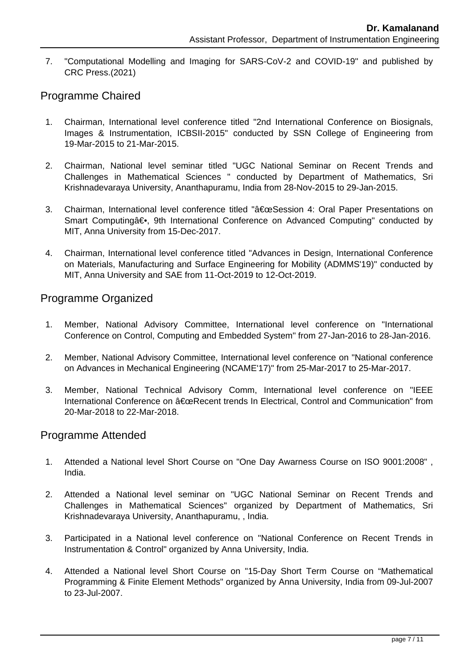7. "Computational Modelling and Imaging for SARS-CoV-2 and COVID-19" and published by CRC Press.(2021)

# Programme Chaired

- 1. Chairman, International level conference titled "2nd International Conference on Biosignals, Images & Instrumentation, ICBSII-2015" conducted by SSN College of Engineering from 19-Mar-2015 to 21-Mar-2015.
- 2. Chairman, National level seminar titled "UGC National Seminar on Recent Trends and Challenges in Mathematical Sciences " conducted by Department of Mathematics, Sri Krishnadevaraya University, Ananthapuramu, India from 28-Nov-2015 to 29-Jan-2015.
- 3. Chairman, International level conference titled ""Session 4: Oral Paper Presentations on Smart Computing―, 9th International Conference on Advanced Computing" conducted by MIT, Anna University from 15-Dec-2017.
- 4. Chairman, International level conference titled "Advances in Design, International Conference on Materials, Manufacturing and Surface Engineering for Mobility (ADMMS'19)" conducted by MIT, Anna University and SAE from 11-Oct-2019 to 12-Oct-2019.

## Programme Organized

- 1. Member, National Advisory Committee, International level conference on "International Conference on Control, Computing and Embedded System" from 27-Jan-2016 to 28-Jan-2016.
- 2. Member, National Advisory Committee, International level conference on "National conference on Advances in Mechanical Engineering (NCAME'17)" from 25-Mar-2017 to 25-Mar-2017.
- 3. Member, National Technical Advisory Comm, International level conference on "IEEE International Conference on "Recent trends In Electrical, Control and Communication" from 20-Mar-2018 to 22-Mar-2018.

## Programme Attended

- 1. Attended a National level Short Course on "One Day Awarness Course on ISO 9001:2008" , India.
- 2. Attended a National level seminar on "UGC National Seminar on Recent Trends and Challenges in Mathematical Sciences" organized by Department of Mathematics, Sri Krishnadevaraya University, Ananthapuramu, , India.
- 3. Participated in a National level conference on "National Conference on Recent Trends in Instrumentation & Control" organized by Anna University, India.
- 4. Attended a National level Short Course on "15-Day Short Term Course on "Mathematical Programming & Finite Element Methods" organized by Anna University, India from 09-Jul-2007 to 23-Jul-2007.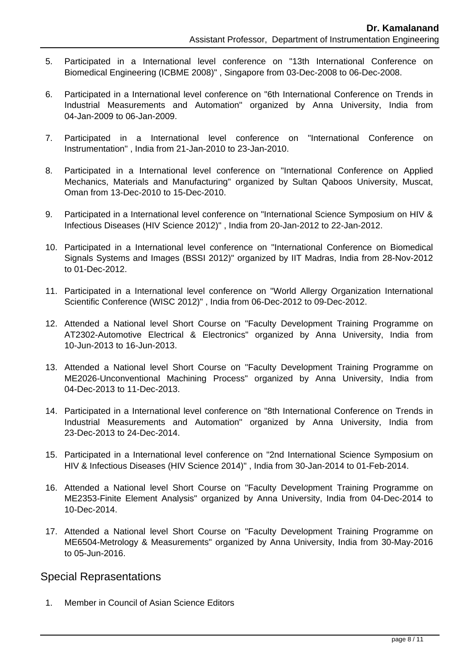- 5. Participated in a International level conference on "13th International Conference on Biomedical Engineering (ICBME 2008)" , Singapore from 03-Dec-2008 to 06-Dec-2008.
- 6. Participated in a International level conference on "6th International Conference on Trends in Industrial Measurements and Automation" organized by Anna University, India from 04-Jan-2009 to 06-Jan-2009.
- 7. Participated in a International level conference on "International Conference on Instrumentation" , India from 21-Jan-2010 to 23-Jan-2010.
- 8. Participated in a International level conference on "International Conference on Applied Mechanics, Materials and Manufacturing" organized by Sultan Qaboos University, Muscat, Oman from 13-Dec-2010 to 15-Dec-2010.
- 9. Participated in a International level conference on "International Science Symposium on HIV & Infectious Diseases (HIV Science 2012)" , India from 20-Jan-2012 to 22-Jan-2012.
- 10. Participated in a International level conference on "International Conference on Biomedical Signals Systems and Images (BSSI 2012)" organized by IIT Madras, India from 28-Nov-2012 to 01-Dec-2012.
- 11. Participated in a International level conference on "World Allergy Organization International Scientific Conference (WISC 2012)" , India from 06-Dec-2012 to 09-Dec-2012.
- 12. Attended a National level Short Course on "Faculty Development Training Programme on AT2302-Automotive Electrical & Electronics" organized by Anna University, India from 10-Jun-2013 to 16-Jun-2013.
- 13. Attended a National level Short Course on "Faculty Development Training Programme on ME2026-Unconventional Machining Process" organized by Anna University, India from 04-Dec-2013 to 11-Dec-2013.
- 14. Participated in a International level conference on "8th International Conference on Trends in Industrial Measurements and Automation" organized by Anna University, India from 23-Dec-2013 to 24-Dec-2014.
- 15. Participated in a International level conference on "2nd International Science Symposium on HIV & Infectious Diseases (HIV Science 2014)" , India from 30-Jan-2014 to 01-Feb-2014.
- 16. Attended a National level Short Course on "Faculty Development Training Programme on ME2353-Finite Element Analysis" organized by Anna University, India from 04-Dec-2014 to 10-Dec-2014.
- 17. Attended a National level Short Course on "Faculty Development Training Programme on ME6504-Metrology & Measurements" organized by Anna University, India from 30-May-2016 to 05-Jun-2016.

### Special Reprasentations

1. Member in Council of Asian Science Editors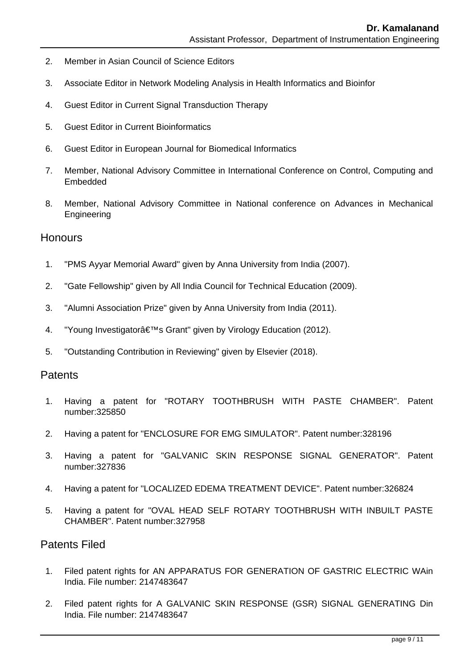- 2. Member in Asian Council of Science Editors
- 3. Associate Editor in Network Modeling Analysis in Health Informatics and Bioinfor
- 4. Guest Editor in Current Signal Transduction Therapy
- 5. Guest Editor in Current Bioinformatics
- 6. Guest Editor in European Journal for Biomedical Informatics
- 7. Member, National Advisory Committee in International Conference on Control, Computing and Embedded
- 8. Member, National Advisory Committee in National conference on Advances in Mechanical Engineering

#### **Honours**

- 1. "PMS Ayyar Memorial Award" given by Anna University from India (2007).
- 2. "Gate Fellowship" given by All India Council for Technical Education (2009).
- 3. "Alumni Association Prize" given by Anna University from India (2011).
- 4. "Young Investigator's Grant" given by Virology Education (2012).
- 5. "Outstanding Contribution in Reviewing" given by Elsevier (2018).

### **Patents**

- 1. Having a patent for "ROTARY TOOTHBRUSH WITH PASTE CHAMBER". Patent number:325850
- 2. Having a patent for "ENCLOSURE FOR EMG SIMULATOR". Patent number:328196
- 3. Having a patent for "GALVANIC SKIN RESPONSE SIGNAL GENERATOR". Patent number:327836
- 4. Having a patent for "LOCALIZED EDEMA TREATMENT DEVICE". Patent number:326824
- 5. Having a patent for "OVAL HEAD SELF ROTARY TOOTHBRUSH WITH INBUILT PASTE CHAMBER". Patent number:327958

### Patents Filed

- 1. Filed patent rights for AN APPARATUS FOR GENERATION OF GASTRIC ELECTRIC WAin India. File number: 2147483647
- 2. Filed patent rights for A GALVANIC SKIN RESPONSE (GSR) SIGNAL GENERATING Din India. File number: 2147483647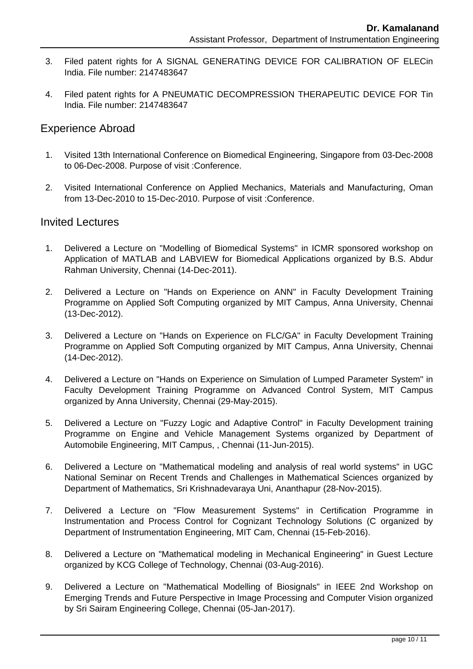- 3. Filed patent rights for A SIGNAL GENERATING DEVICE FOR CALIBRATION OF ELECin India. File number: 2147483647
- 4. Filed patent rights for A PNEUMATIC DECOMPRESSION THERAPEUTIC DEVICE FOR Tin India. File number: 2147483647

### Experience Abroad

- 1. Visited 13th International Conference on Biomedical Engineering, Singapore from 03-Dec-2008 to 06-Dec-2008. Purpose of visit :Conference.
- 2. Visited International Conference on Applied Mechanics, Materials and Manufacturing, Oman from 13-Dec-2010 to 15-Dec-2010. Purpose of visit :Conference.

#### Invited Lectures

- 1. Delivered a Lecture on "Modelling of Biomedical Systems" in ICMR sponsored workshop on Application of MATLAB and LABVIEW for Biomedical Applications organized by B.S. Abdur Rahman University, Chennai (14-Dec-2011).
- 2. Delivered a Lecture on "Hands on Experience on ANN" in Faculty Development Training Programme on Applied Soft Computing organized by MIT Campus, Anna University, Chennai (13-Dec-2012).
- 3. Delivered a Lecture on "Hands on Experience on FLC/GA" in Faculty Development Training Programme on Applied Soft Computing organized by MIT Campus, Anna University, Chennai (14-Dec-2012).
- 4. Delivered a Lecture on "Hands on Experience on Simulation of Lumped Parameter System" in Faculty Development Training Programme on Advanced Control System, MIT Campus organized by Anna University, Chennai (29-May-2015).
- 5. Delivered a Lecture on "Fuzzy Logic and Adaptive Control" in Faculty Development training Programme on Engine and Vehicle Management Systems organized by Department of Automobile Engineering, MIT Campus, , Chennai (11-Jun-2015).
- 6. Delivered a Lecture on "Mathematical modeling and analysis of real world systems" in UGC National Seminar on Recent Trends and Challenges in Mathematical Sciences organized by Department of Mathematics, Sri Krishnadevaraya Uni, Ananthapur (28-Nov-2015).
- 7. Delivered a Lecture on "Flow Measurement Systems" in Certification Programme in Instrumentation and Process Control for Cognizant Technology Solutions (C organized by Department of Instrumentation Engineering, MIT Cam, Chennai (15-Feb-2016).
- 8. Delivered a Lecture on "Mathematical modeling in Mechanical Engineering" in Guest Lecture organized by KCG College of Technology, Chennai (03-Aug-2016).
- 9. Delivered a Lecture on "Mathematical Modelling of Biosignals" in IEEE 2nd Workshop on Emerging Trends and Future Perspective in Image Processing and Computer Vision organized by Sri Sairam Engineering College, Chennai (05-Jan-2017).